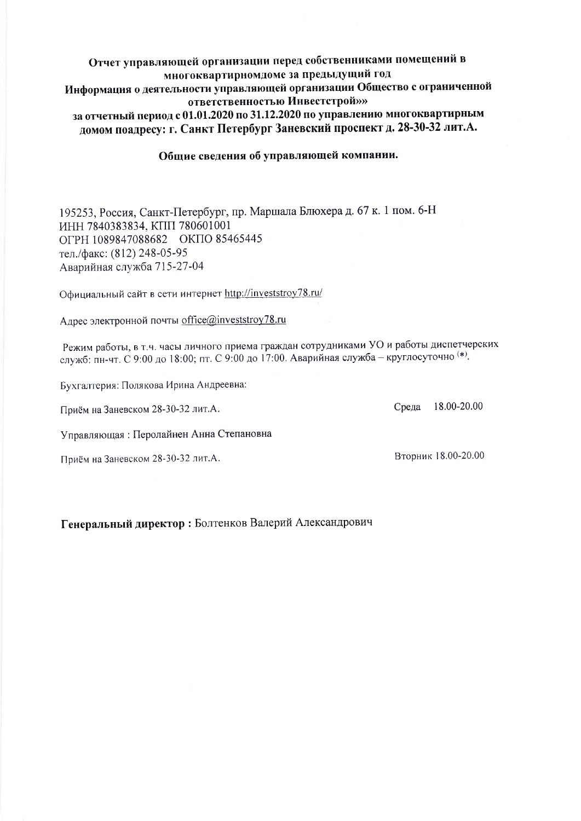### Отчет управляющей организации перед собственниками помещений в многоквартирномдоме за предыдущий год Информация о деятельности управляющей организации Общество с ограниченной ответственностью Инвестстрой»» за отчетный период с 01.01.2020 по 31.12.2020 по управлению многоквартирным домом поадресу: г. Санкт Петербург Заневский проспект д. 28-30-32 лит.А.

### Общие сведения об управляющей компании.

195253, Россия, Санкт-Петербург, пр. Маршала Блюхера д. 67 к. 1 пом. 6-Н ИНН 7840383834, КПП 780601001 ОГРН 1089847088682 ОКПО 85465445 тел./факс: (812) 248-05-95 Аварийная служба 715-27-04

Официальный сайт в сети интернет http://investstroy78.ru/

Адрес электронной почты office@investstroy78.ru

Режим работы, в т.ч. часы личного приема граждан сотрудниками УО и работы диспетчерских служб: пн-чт. С 9:00 до 18:00; пт. С 9:00 до 17:00. Аварийная служба - круглосуточно (\*).

Бухгалтерия: Полякова Ирина Андреевна:

Приём на Заневском 28-30-32 лит.А.

Управляющая: Перолайнен Анна Степановна

Приём на Заневском 28-30-32 лит.А.

Вторник 18.00-20.00

Среда

18.00-20.00

Генеральный директор: Болтенков Валерий Александрович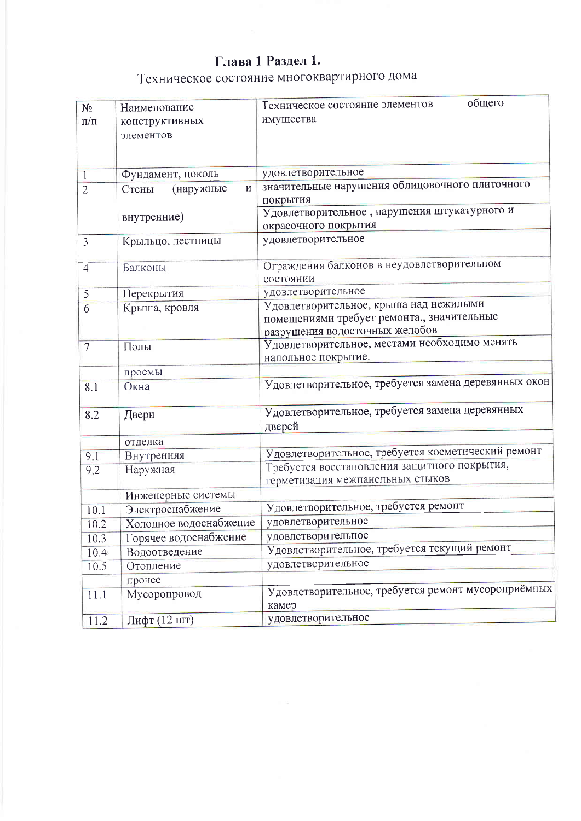# Глава 1 Раздел 1.

# Техническое состояние многоквартирного дома

| $N_2$           | Наименование                 | общего<br>Техническое состояние элементов                                                                              |  |
|-----------------|------------------------------|------------------------------------------------------------------------------------------------------------------------|--|
| $\Pi/\Pi$       | конструктивных<br>элементов  | имущества                                                                                                              |  |
|                 |                              |                                                                                                                        |  |
| $\mathbf{1}$    | Фундамент, цоколь            | удовлетворительное                                                                                                     |  |
| $\overline{2}$  | $\,$ M<br>(наружные<br>Стены | значительные нарушения облицовочного плиточного<br>покрытия                                                            |  |
|                 | внутренние)                  | Удовлетворительное, нарушения штукатурного и<br>окрасочного покрытия                                                   |  |
| $\mathfrak{Z}$  | Крыльцо, лестницы            | удовлетворительное                                                                                                     |  |
| $\overline{4}$  | Балконы                      | Ограждения балконов в неудовлетворительном<br>состоянии                                                                |  |
| 5               | Перекрытия                   | удовлетворительное                                                                                                     |  |
| 6               | Крыша, кровля                | Удовлетворительное, крыша над нежилыми<br>помещениями требует ремонта., значительные<br>разрушения водосточных желобов |  |
| $7\phantom{.0}$ | Полы                         | Удовлетворительное, местами необходимо менять<br>напольное покрытие.                                                   |  |
|                 | проемы                       |                                                                                                                        |  |
| 8.1             | Окна                         | Удовлетворительное, требуется замена деревянных окон                                                                   |  |
| 8.2             | Двери                        | Удовлетворительное, требуется замена деревянных<br>дверей                                                              |  |
|                 | отделка                      |                                                                                                                        |  |
| 9.1             | Внутренняя                   | Удовлетворительное, требуется косметический ремонт                                                                     |  |
| 9.2             | Наружная                     | Требуется восстановления защитного покрытия,<br>герметизация межпанельных стыков                                       |  |
|                 | Инженерные системы           |                                                                                                                        |  |
| 10.1            | Электроснабжение             | Удовлетворительное, требуется ремонт                                                                                   |  |
| 10.2            | Холодное водоснабжение       | удовлетворительное                                                                                                     |  |
| 10.3            | Горячее водоснабжение        | удовлетворительное                                                                                                     |  |
| 10.4            | Водоотведение                | Удовлетворительное, требуется текущий ремонт                                                                           |  |
| 10.5            | Отопление                    | удовлетворительное                                                                                                     |  |
|                 | прочее                       |                                                                                                                        |  |
| 11.1            | Мусоропровод                 | Удовлетворительное, требуется ремонт мусороприёмных<br>камер                                                           |  |
| 11.2            | Лифт (12 шт)                 | удовлетворительное                                                                                                     |  |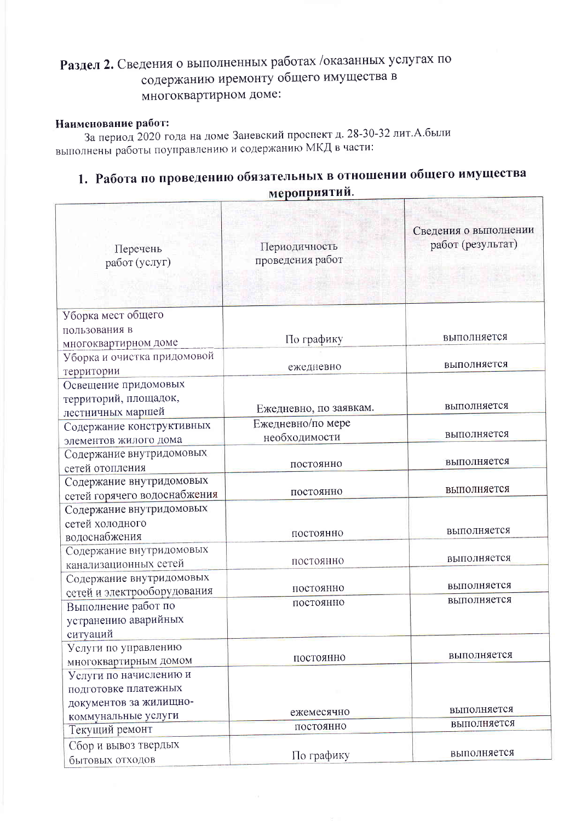# Раздел 2. Сведения о выполненных работах /оказанных услугах по содержанию иремонту общего имущества в многоквартирном доме:

### Наименование работ:

За период 2020 года на доме Заневский проспект д. 28-30-32 лит. А. были выполнены работы поуправлению и содержанию МКД в части:

# 1. Работа по проведению обязательных в отношении общего имущества мероприятий.

| Перечень<br>работ (услуг)                               | Периодичность<br>проведения работ | Сведения о выполнении<br>работ (результат) |
|---------------------------------------------------------|-----------------------------------|--------------------------------------------|
| Уборка мест общего                                      |                                   |                                            |
| пользования в                                           |                                   |                                            |
| многоквартирном доме                                    | По графику                        | выполняется                                |
| Уборка и очистка придомовой                             |                                   | выполняется                                |
| территории                                              | ежедневно                         |                                            |
| Освещение придомовых                                    |                                   |                                            |
| территорий, площадок,                                   |                                   | выполняется                                |
| лестничных маршей                                       | Ежедневно, по заявкам.            |                                            |
| Содержание конструктивных                               | Ежедневно/по мере                 | выполняется                                |
| элементов жилого дома                                   | необходимости                     |                                            |
| Содержание внутридомовых                                | постоянно                         | выполняется                                |
| сетей отопления                                         |                                   |                                            |
| Содержание внутридомовых                                | постоянно                         | выполняется                                |
| сетей горячего водоснабжения                            |                                   |                                            |
| Содержание внутридомовых                                |                                   |                                            |
| сетей холодного                                         | постоянно                         | выполняется                                |
| водоснабжения                                           |                                   |                                            |
| Содержание внутридомовых                                | постоянно                         | выполняется                                |
| канализационных сетей                                   |                                   |                                            |
| Содержание внутридомовых<br>сетей и электрооборудования | постоянно                         | выполняется                                |
| Выполнение работ по                                     | постоянно                         | выполняется                                |
| устранению аварийных                                    |                                   |                                            |
| ситуаций                                                |                                   |                                            |
| Услуги по управлению                                    |                                   |                                            |
| многоквартирным домом                                   | постоянно                         | выполняется                                |
| Услуги по начислению и                                  |                                   |                                            |
| подготовке платежных                                    |                                   |                                            |
| документов за жилищно-                                  |                                   |                                            |
| коммунальные услуги                                     | ежемесячно                        | выполняется                                |
| Текущий ремонт                                          | постоянно                         | выполняется                                |
| Сбор и вывоз твердых                                    |                                   |                                            |
| бытовых отходов                                         | По графику                        | выполняется                                |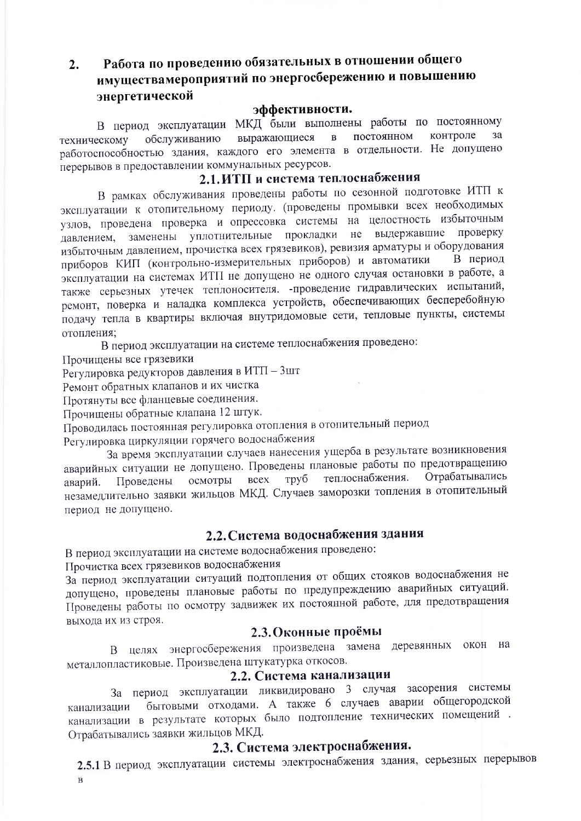### Работа по проведению обязательных в отношении общего  $2.$ имуществамероприятий по энергосбережению и повышению энергетической

#### эффективности.

В период эксплуатации МКД были выполнены работы по постоянному постоянном контроле  $3a$  $\mathbf{B}$ выражающиеся обслуживанию техническому работоспособностью здания, каждого его элемента в отдельности. Не допущено перерывов в предоставлении коммунальных ресурсов.

## 2.1. ИТП и система теплоснабжения

В рамках обслуживания проведены работы по сезонной подготовке ИТП к эксплуатации к отопительному периоду. (проведены промывки всех необходимых узлов, проведена проверка и опрессовка системы на целостность избыточным выдержавшие проверку заменены уплотнительные прокладки не давлением, избыточным давлением, прочистка всех грязевиков), ревизия арматуры и оборудования приборов КИП (контрольно-измерительных приборов) и автоматики В период эксплуатации на системах ИТП не допущено не одного случая остановки в работе, а также серьезных утечек теплоносителя. - проведение гидравлических испытаний, ремонт, поверка и наладка комплекса устройств, обеспечивающих бесперебойную подачу тепла в квартиры включая внутридомовые сети, тепловые пункты, системы отопления;

В период эксплуатации на системе теплоснабжения проведено:

Прочищены все грязевики

Регулировка редукторов давления в ИТП - 3шт

Ремонт обратных клапанов и их чистка

Протянуты все фланцевые соединения.

Прочищены обратные клапана 12 штук.

Проводилась постоянная регулировка отопления в отопительный период

Регулировка циркуляции горячего водоснабжения

За время эксплуатации случаев нанесения ущерба в результате возникновения аварийных ситуации не допущено. Проведены плановые работы по предотвращению Отрабатывались теплоснабжения. **BCCX** труб осмотры Проведены аварий. незамедлительно заявки жильцов МКД. Случаев заморозки топления в отопительный период не допущено.

# 2.2. Система водоснабжения здания

В период эксплуатации на системе водоснабжения проведено:

Прочистка всех грязевиков водоснабжения

За период эксплуатации ситуаций подтопления от общих стояков водоснабжения не допущено, проведены плановые работы по предупреждению аварийных ситуаций. Проведены работы по осмотру задвижек их постоянной работе, для предотвращения выхода их из строя.

### 2.3. Оконные проёмы

В целях энергосбережения произведена замена деревянных окон на металлопластиковые. Произведена штукатурка откосов.

## 2.2. Система канализации

За период эксплуатации ликвидировано 3 случая засорения системы бытовыми отходами. А также 6 случаев аварии общегородской канализации канализации в результате которых было подтопление технических помещений. Отрабатывались заявки жильцов МКД.

# 2.3. Система электроснабжения.

2.5.1 В период эксплуатации системы электроснабжения здания, серьезных перерывов  $\mathbf{B}$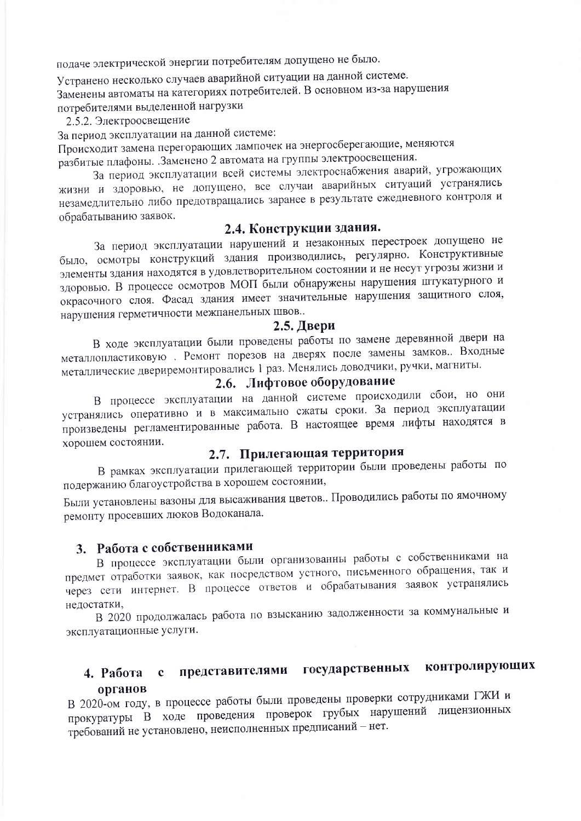подаче электрической энергии потребителям допущено не было.

Устранено несколько случаев аварийной ситуации на данной системе. Заменены автоматы на категориях потребителей. В основном из-за нарушения потребителями выделенной нагрузки

2.5.2. Электроосвещение

За период эксплуатации на данной системе:

Происходит замена перегорающих лампочек на энергосберегающие, меняются разбитые плафоны. Заменено 2 автомата на группы электроосвещения.

За период эксплуатации всей системы электроснабжения аварий, угрожающих жизни и здоровью, не допущено, все случаи аварийных ситуаций устранялись незамедлительно либо предотвращались заранее в результате ежедневного контроля и обрабатыванию заявок.

# 2.4. Конструкции здания.

За период эксплуатации нарушений и незаконных перестроек допущено не было, осмотры конструкций здания производились, регулярно. Конструктивные элементы здания находятся в удовлетворительном состоянии и не несут угрозы жизни и здоровью. В процессе осмотров МОП были обнаружены нарушения штукатурного и окрасочного слоя. Фасад здания имеет значительные нарушения защитного слоя, нарушения герметичности межпанельных швов.

#### $2.5.$  Двери

В ходе эксплуатации были проведены работы по замене деревянной двери на металлопластиковую. Ремонт порезов на дверях после замены замков. Входные металлические двериремонтировались 1 раз. Менялись доводчики, ручки, магниты.

# 2.6. Лифтовое оборудование

В процессе эксплуатации на данной системе происходили сбои, но они устранялись оперативно и в максимально сжаты сроки. За период эксплуатации произведены регламентированные работа. В настоящее время лифты находятся в хорошем состоянии.

# 2.7. Прилегающая территория

В рамках эксплуатации прилегающей территории были проведены работы по подержанию благоустройства в хорошем состоянии,

Были установлены вазоны для высаживания цветов.. Проводились работы по ямочному ремонту просевших люков Водоканала.

# 3. Работа с собственниками

В процессе эксплуатации были организованны работы с собственниками на предмет отработки заявок, как посредством устного, письменного обращения, так и через сети интернет. В процессе ответов и обрабатывания заявок устранялись нелостатки,

В 2020 продолжалась работа по взысканию задолженности за коммунальные и эксплуатационные услуги.

#### представителями государственных контролирующих 4. Работа с органов

В 2020-ом году, в процессе работы были проведены проверки сотрудниками ГЖИ и прокуратуры В ходе проведения проверок грубых нарушений лицензионных требований не установлено, неисполненных предписаний - нет.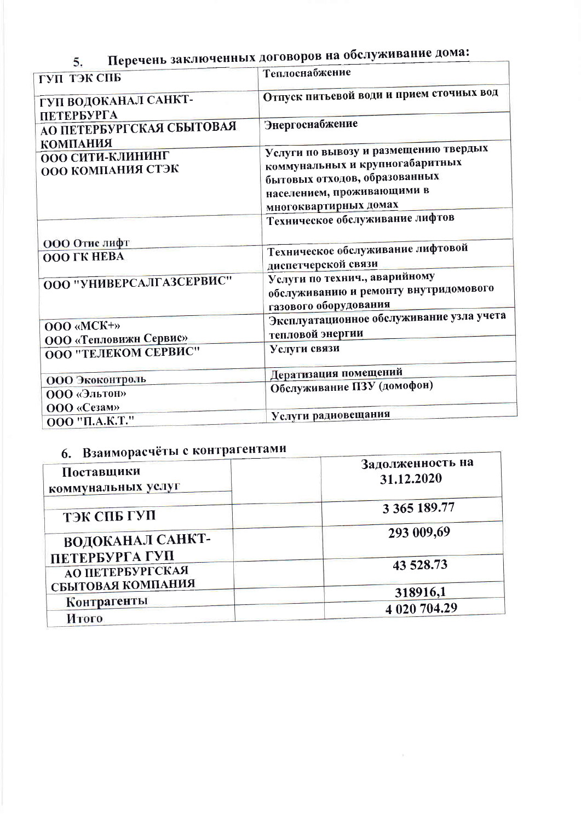Перечень заключенных договоров на обслуживание дома: 5.

| ГУП ТЭК СПБ                                              | Теплоснабжение                                                                                                                                                   |  |
|----------------------------------------------------------|------------------------------------------------------------------------------------------------------------------------------------------------------------------|--|
| ГУП ВОДОКАНАЛ САНКТ-                                     | Отпуск питьевой води и прием сточных вод                                                                                                                         |  |
| ПЕТЕРБУРГА<br>АО ПЕТЕРБУРГСКАЯ СБЫТОВАЯ                  | Энергоснабжение                                                                                                                                                  |  |
| <b>КОМПАНИЯ</b><br>ООО СИТИ-КЛИНИНГ<br>ООО КОМПАНИЯ СТЭК | Услуги по вывозу и размещению твердых<br>коммунальных и крупногабаритных<br>бытовых отходов, образованных<br>населением, проживающими в<br>многоквартирных домах |  |
|                                                          | Техническое обслуживание лифтов                                                                                                                                  |  |
| ООО Отис лифт<br><b>OOO ΓΚ ΗΕΒΑ</b>                      | Техническое обслуживание лифтовой<br>диспетчерской связи                                                                                                         |  |
| ООО "УНИВЕРСАЛГАЗСЕРВИС"                                 | Услуги по технич., аварийному<br>обслуживанию и ремонту внутридомового<br>газового оборудования                                                                  |  |
| OOO «MCK+»<br>ООО «Тепловижн Сервис»                     | Эксплуатационное обслуживание узла учета<br>тепловой энергии                                                                                                     |  |
| ООО "ТЕЛЕКОМ СЕРВИС"                                     | Услуги связи                                                                                                                                                     |  |
| ООО Экоконтроль                                          | Дератизация помещений                                                                                                                                            |  |
| <b>ООО «Эльтон»</b><br>ООО «Сезам»                       | Обслуживание ПЗУ (домофон)                                                                                                                                       |  |
| 000 "П.А.К.Т."                                           | Услуги радиовещания                                                                                                                                              |  |

## 6 Взаиморасчёты с контрагентами

| $\mathbf{u}_1$ DJUIND PHY<br>Поставщики<br>коммунальных услуг | Задолженность на<br>31.12.2020 |
|---------------------------------------------------------------|--------------------------------|
| ТЭК СПБ ГУП                                                   | 3 365 189.77                   |
| ВОДОКАНАЛ САНКТ-<br>ПЕТЕРБУРГА ГУП                            | 293 009,69                     |
| АО ПЕТЕРБУРГСКАЯ                                              | 43 528.73                      |
| СБЫТОВАЯ КОМПАНИЯ                                             | 318916,1                       |
| Контрагенты<br>Итого                                          | 4 020 704.29                   |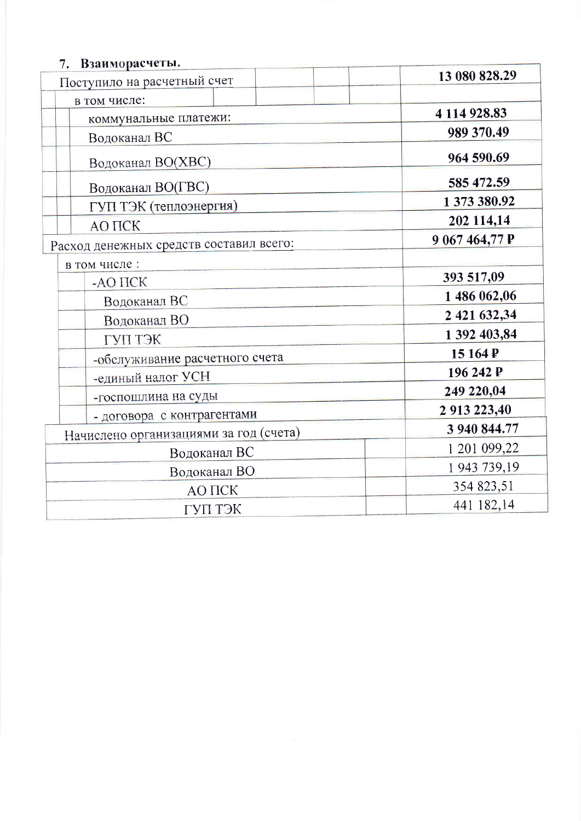# 7. Взаиморасчеты.

| Поступило на расчетный счет             | 13 080 828.29  |
|-----------------------------------------|----------------|
| в том числе:                            |                |
| коммунальные платежи:                   | 4 114 928.83   |
| Водоканал ВС                            | 989 370.49     |
| Водоканал ВО(ХВС)                       | 964 590.69     |
| Водоканал ВО(ГВС)                       | 585 472.59     |
| ГУП ТЭК (теплоэнергия)                  | 1 373 380.92   |
| AO <b>TICK</b>                          | 202 114,14     |
| Расход денежных средств составил всего: | 9 067 464,77 P |
| в том числе:                            |                |
| $-AO$ $\Pi$ $CK$                        | 393 517,09     |
| Водоканал ВС                            | 1 486 062,06   |
| Водоканал ВО                            | 2 421 632,34   |
| ГУП ТЭК                                 | 1 392 403,84   |
| -обслуживание расчетного счета          | 15 164 P       |
| -единый налог УСН                       | 196 242 P      |
| -госпошлина на суды                     | 249 220,04     |
| - договора с контрагентами              | 2 913 223,40   |
| Начислено организациями за год (счета)  | 3 940 844.77   |
| Водоканал ВС                            | 1 201 099,22   |
| Водоканал ВО                            | 1943 739,19    |
| АО ПСК                                  | 354 823,51     |
| ГУП ТЭК                                 | 441 182,14     |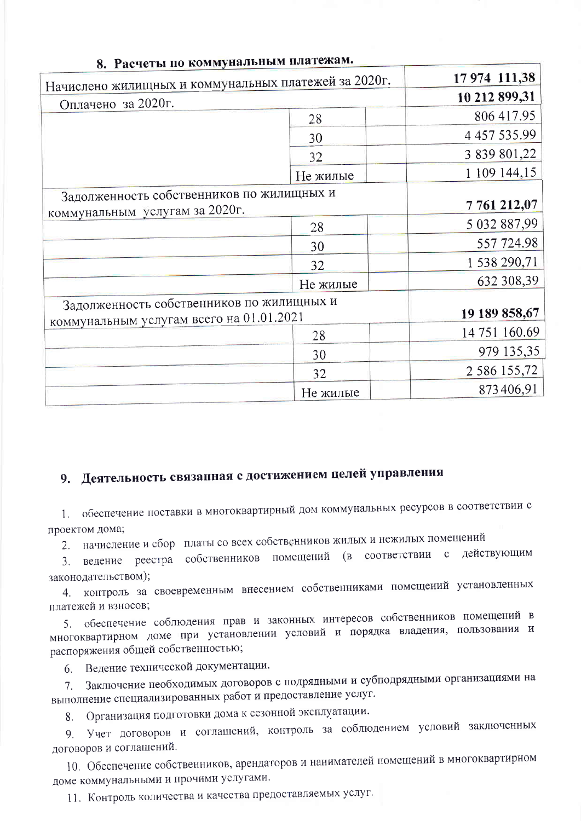| 8. Расчеты по коммунальным нем.                                                       |          |                     |
|---------------------------------------------------------------------------------------|----------|---------------------|
| Начислено жилищных и коммунальных платежей за 2020г.                                  |          | 17 974 111,38       |
| Оплачено за 2020г.                                                                    |          | 10 212 899,31       |
|                                                                                       | 28       | 806 417.95          |
|                                                                                       | 30       | 4 4 5 7 5 3 5 . 9 9 |
|                                                                                       | 32       | 3 839 801,22        |
|                                                                                       | Не жилые | 1 109 144,15        |
| Задолженность собственников по жилищных и                                             |          | 7761212,07          |
| коммунальным услугам за 2020г.                                                        |          |                     |
|                                                                                       | 28       | 5 032 887,99        |
|                                                                                       | 30       | 557 724.98          |
|                                                                                       | 32       | 1 538 290,71        |
|                                                                                       | Не жилые | 632 308,39          |
| Задолженность собственников по жилищных и<br>коммунальным услугам всего на 01.01.2021 |          | 19 189 858,67       |
|                                                                                       | 28       | 14 751 160.69       |
|                                                                                       | 30       | 979 135,35          |
|                                                                                       | 32       | 2 586 155,72        |
|                                                                                       | Не жилые | 873406,91           |

### ммунальным платежам.

# 9. Деятельность связанная с достижением целей управления

1. обеспечение поставки в многоквартирный дом коммунальных ресурсов в соответствии с проектом дома;

2. начисление и сбор платы со всех собственников жилых и нежилых помещений

ведение реестра собственников помещений (в соответствии с действующим  $\mathcal{E}$ законодательством);

контроль за своевременным внесением собственниками помещений установленных  $4.$ платежей и взносов;

5. обеспечение соблюдения прав и законных интересов собственников помещений в многоквартирном доме при установлении условий и порядка владения, пользования и распоряжения общей собственностью;

Ведение технической документации. 6

Заключение необходимых договоров с подрядными и субподрядными организациями на 7. выполнение специализированных работ и предоставление услуг.

Организация подготовки дома к сезонной эксплуатации. 8.

Учет договоров и соглашений, контроль за соблюдением условий заключенных  $Q_{\perp}$ договоров и соглашений.

10. Обеспечение собственников, арендаторов и нанимателей помещений в многоквартирном доме коммунальными и прочими услугами.

11. Контроль количества и качества предоставляемых услуг.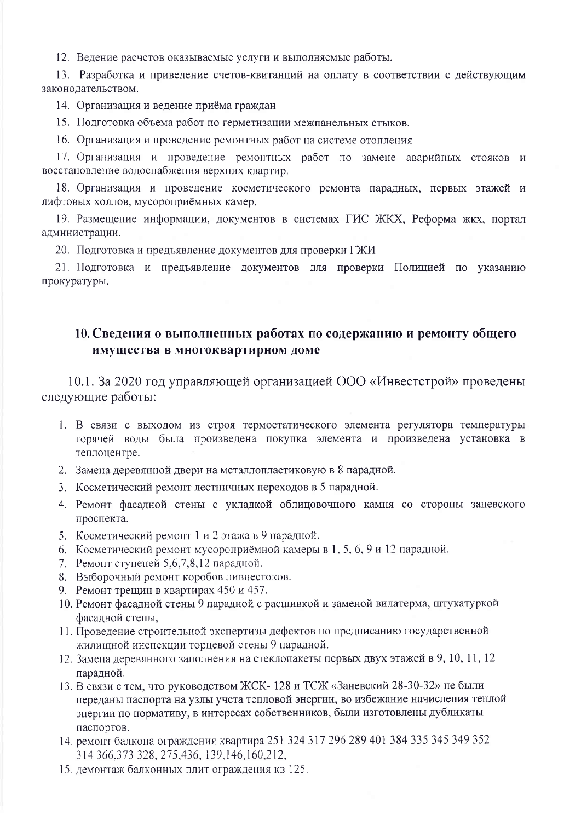12. Ведение расчетов оказываемые услуги и выполняемые работы.

13. Разработка и приведение счетов-квитанций на оплату в соответствии с действующим законодательством.

14. Организация и ведение приёма граждан

15. Подготовка объема работ по герметизации межпанельных стыков.

16. Организация и проведение ремонтных работ на системе отопления

17. Организация и проведение ремонтных работ по замене аварийных стояков и восстановление водоснабжения верхних квартир.

18. Организация и проведение косметического ремонта парадных, первых этажей и лифтовых холлов, мусороприёмных камер.

19. Размещение информации, документов в системах ГИС ЖКХ, Реформа жкх, портал администрации.

20. Подготовка и предъявление документов для проверки ГЖИ

21. Подготовка и предъявление документов для проверки Полицией по указанию прокуратуры.

# 10. Сведения о выполненных работах по содержанию и ремонту общего имущества в многоквартирном доме

10.1. За 2020 год управляющей организацией ООО «Инвестстрой» проведены следующие работы:

- 1. В связи с выходом из строя термостатического элемента регулятора температуры горячей воды была произведена покупка элемента и произведена установка в теплоцентре.
- 2. Замена деревянной двери на металлопластиковую в 8 парадной.
- 3. Косметический ремонт лестничных переходов в 5 парадной.
- 4. Ремонт фасадной стены с укладкой облицовочного камня со стороны заневского проспекта.
- 5. Косметический ремонт 1 и 2 этажа в 9 парадной.
- 6. Косметический ремонт мусороприёмной камеры в 1, 5, 6, 9 и 12 парадной.
- 7. Ремонт ступеней 5.6.7.8.12 парадной.
- 8. Выборочный ремонт коробов ливнестоков.
- 9. Ремонт трещин в квартирах 450 и 457.
- 10. Ремонт фасадной стены 9 парадной с расшивкой и заменой вилатерма, штукатуркой фасадной стены.
- 11. Проведение строительной экспертизы дефектов по предписанию государственной жилищной инспекции торцевой стены 9 парадной.
- 12. Замена деревянного заполнения на стеклопакеты первых двух этажей в 9, 10, 11, 12 парадной.
- 13. В связи с тем, что руководством ЖСК-128 и ТСЖ «Заневский 28-30-32» не были переданы паспорта на узлы учета тепловой энергии, во избежание начисления теплой энергии по нормативу, в интересах собственников, были изготовлены дубликаты паспортов.
- 14. ремонт балкона ограждения квартира 251 324 317 296 289 401 384 335 345 349 352 314 366, 373 328, 275, 436, 139, 146, 160, 212,
- 15. демонтаж балконных плит ограждения кв 125.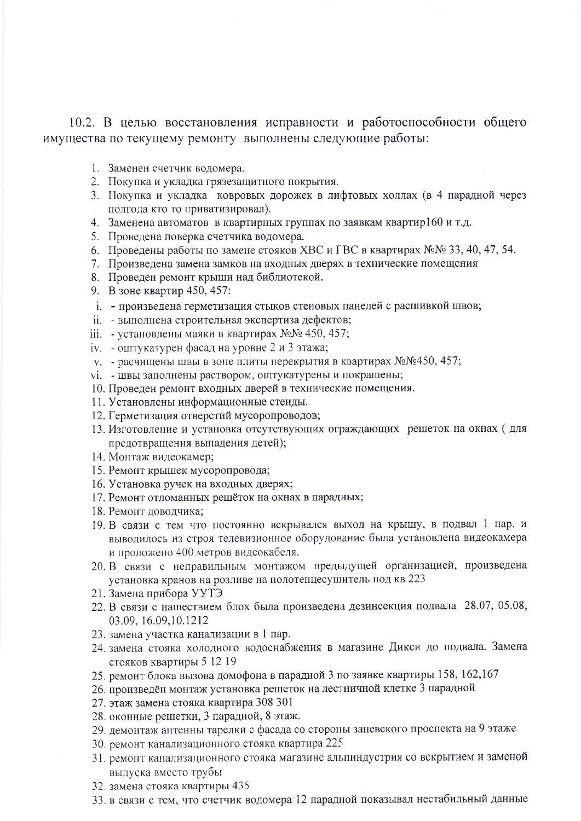10.2. В целью восстановления исправности и работоспособности общего имущества по текущему ремонту выполнены следующие работы:

- 1. Заменен счетчик водомера.
- 2. Покупка и укладка грязезащитного покрытия.
- 3. Покупка и укладка ковровых дорожек в лифтовых холлах (в 4 парадной через полгода кто то приватизировал).
- 4. Заменена автоматов в квартирных группах по заявкам квартир160 и т.д.
- 5. Проведена поверка счетчика водомера.
- 6. Проведены работы по замене стояков ХВС и ГВС в квартирах №№ 33, 40, 47, 54.
- 7. Произведена замена замков на входных дверях в технические помещения
- 8. Проведен ремонт крыши над библиотекой.
- 9. В зоне квартир 450, 457:
- і. произведена герметизация стыков стеновых панелей с расшивкой швов;
- іі. выполнена строительная экспертиза дефектов;
- ііі. установлены маяки в квартирах №№ 450, 457;
- іу. оштукатурен фасад на уровне 2 и 3 этажа;
- у. расчищены швы в зоне плиты перекрытия в квартирах  $N_2N_2450$ , 457;
- vi. швы заполнены раствором, оштукатурены и покрашены;
- 10. Проведен ремонт входных дверей в технические помещения.
- 11. Установлены информационные стенды.
- 12. Герметизация отверстий мусоропроводов;
- 13. Изготовление и установка отсутствующих ограждающих решеток на окнах (для предотвращения выпадения детей):
- 14. Монтаж видеокамер;
- 15. Ремонт крышек мусоропровода;
- 16. Установка ручек на входных дверях;
- 17. Ремонт отломанных решёток на окнах в парадных;
- 18. Ремонт доводчика;
- 19. В связи с тем что постоянно вскрывался выход на крышу, в подвал 1 пар. и выводилось из строя телевизионное оборудование была установлена видеокамера и проложено 400 метров видеокабеля.
- 20. В связи с неправильным монтажом предыдущей организацией, произведена установка кранов на розливе на полотенцесушитель под кв 223
- 21. Замена прибора УУТЭ
- 22. В связи с нашествием блох была произведена дезинсекция подвала 28.07, 05.08, 03.09, 16.09, 10.1212
- 23. замена участка канализации в 1 пар.
- 24. замена стояка холодного водоснабжения в магазине Дикси до подвала. Замена стояков квартиры 5 12 19
- 25. ремонт блока вызова домофона в парадной 3 по заявке квартиры 158, 162, 167
- 26. произведён монтаж установка решеток на лестничной клетке 3 парадной
- 27. этаж замена стояка квартира 308 301
- 28. оконные решетки, 3 парадной, 8 этаж.
- 29. демонтаж антенны тарелки с фасада со стороны заневского проспекта на 9 этаже
- 30. ремонт канализационного стояка квартира 225
- 31. ремонт канализационного стояка магазине альпиндустрия со вскрытием и заменой выпуска вместо трубы
- 32. замена стояка квартиры 435
- 33. в связи с тем, что счетчик водомера 12 парадной показывал нестабильный данные